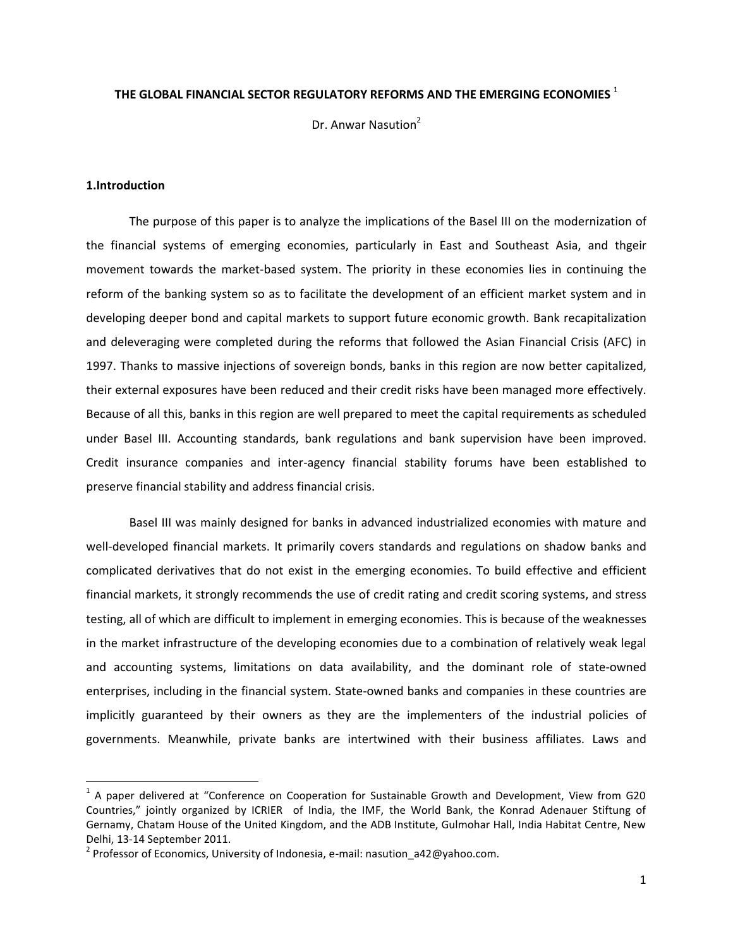## **THE GLOBAL FINANCIAL SECTOR REGULATORY REFORMS AND THE EMERGING ECONOMIES** <sup>1</sup>

Dr. Anwar Nasution<sup>2</sup>

## **1.Introduction**

 $\overline{\phantom{a}}$ 

The purpose of this paper is to analyze the implications of the Basel III on the modernization of the financial systems of emerging economies, particularly in East and Southeast Asia, and thgeir movement towards the market-based system. The priority in these economies lies in continuing the reform of the banking system so as to facilitate the development of an efficient market system and in developing deeper bond and capital markets to support future economic growth. Bank recapitalization and deleveraging were completed during the reforms that followed the Asian Financial Crisis (AFC) in 1997. Thanks to massive injections of sovereign bonds, banks in this region are now better capitalized, their external exposures have been reduced and their credit risks have been managed more effectively. Because of all this, banks in this region are well prepared to meet the capital requirements as scheduled under Basel III. Accounting standards, bank regulations and bank supervision have been improved. Credit insurance companies and inter-agency financial stability forums have been established to preserve financial stability and address financial crisis.

Basel III was mainly designed for banks in advanced industrialized economies with mature and well-developed financial markets. It primarily covers standards and regulations on shadow banks and complicated derivatives that do not exist in the emerging economies. To build effective and efficient financial markets, it strongly recommends the use of credit rating and credit scoring systems, and stress testing, all of which are difficult to implement in emerging economies. This is because of the weaknesses in the market infrastructure of the developing economies due to a combination of relatively weak legal and accounting systems, limitations on data availability, and the dominant role of state-owned enterprises, including in the financial system. State-owned banks and companies in these countries are implicitly guaranteed by their owners as they are the implementers of the industrial policies of governments. Meanwhile, private banks are intertwined with their business affiliates. Laws and

<sup>&</sup>lt;sup>1</sup> A paper delivered at "Conference on Cooperation for Sustainable Growth and Development, View from G20 Countries," jointly organized by ICRIER of India, the IMF, the World Bank, the Konrad Adenauer Stiftung of Gernamy, Chatam House of the United Kingdom, and the ADB Institute, Gulmohar Hall, India Habitat Centre, New Delhi, 13-14 September 2011.

<sup>&</sup>lt;sup>2</sup> Professor of Economics, University of Indonesia, e-mail: nasution\_a42@yahoo.com.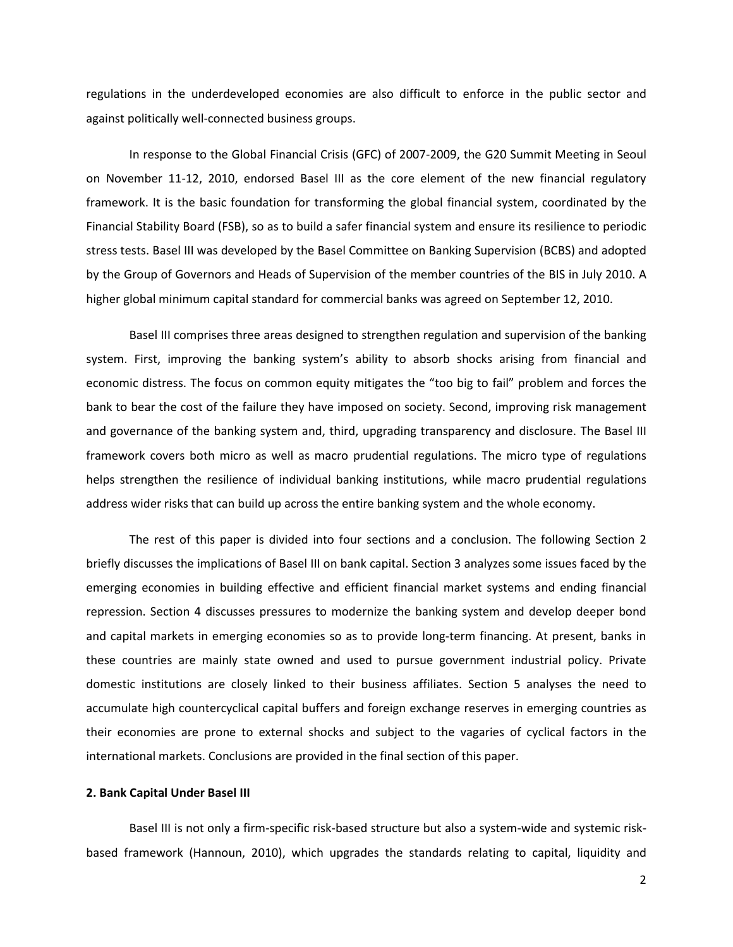regulations in the underdeveloped economies are also difficult to enforce in the public sector and against politically well-connected business groups.

In response to the Global Financial Crisis (GFC) of 2007-2009, the G20 Summit Meeting in Seoul on November 11-12, 2010, endorsed Basel III as the core element of the new financial regulatory framework. It is the basic foundation for transforming the global financial system, coordinated by the Financial Stability Board (FSB), so as to build a safer financial system and ensure its resilience to periodic stress tests. Basel III was developed by the Basel Committee on Banking Supervision (BCBS) and adopted by the Group of Governors and Heads of Supervision of the member countries of the BIS in July 2010. A higher global minimum capital standard for commercial banks was agreed on September 12, 2010.

Basel III comprises three areas designed to strengthen regulation and supervision of the banking system. First, improving the banking system's ability to absorb shocks arising from financial and economic distress. The focus on common equity mitigates the "too big to fail" problem and forces the bank to bear the cost of the failure they have imposed on society. Second, improving risk management and governance of the banking system and, third, upgrading transparency and disclosure. The Basel III framework covers both micro as well as macro prudential regulations. The micro type of regulations helps strengthen the resilience of individual banking institutions, while macro prudential regulations address wider risks that can build up across the entire banking system and the whole economy.

The rest of this paper is divided into four sections and a conclusion. The following Section 2 briefly discusses the implications of Basel III on bank capital. Section 3 analyzes some issues faced by the emerging economies in building effective and efficient financial market systems and ending financial repression. Section 4 discusses pressures to modernize the banking system and develop deeper bond and capital markets in emerging economies so as to provide long-term financing. At present, banks in these countries are mainly state owned and used to pursue government industrial policy. Private domestic institutions are closely linked to their business affiliates. Section 5 analyses the need to accumulate high countercyclical capital buffers and foreign exchange reserves in emerging countries as their economies are prone to external shocks and subject to the vagaries of cyclical factors in the international markets. Conclusions are provided in the final section of this paper.

## **2. Bank Capital Under Basel III**

Basel III is not only a firm-specific risk-based structure but also a system-wide and systemic riskbased framework (Hannoun, 2010), which upgrades the standards relating to capital, liquidity and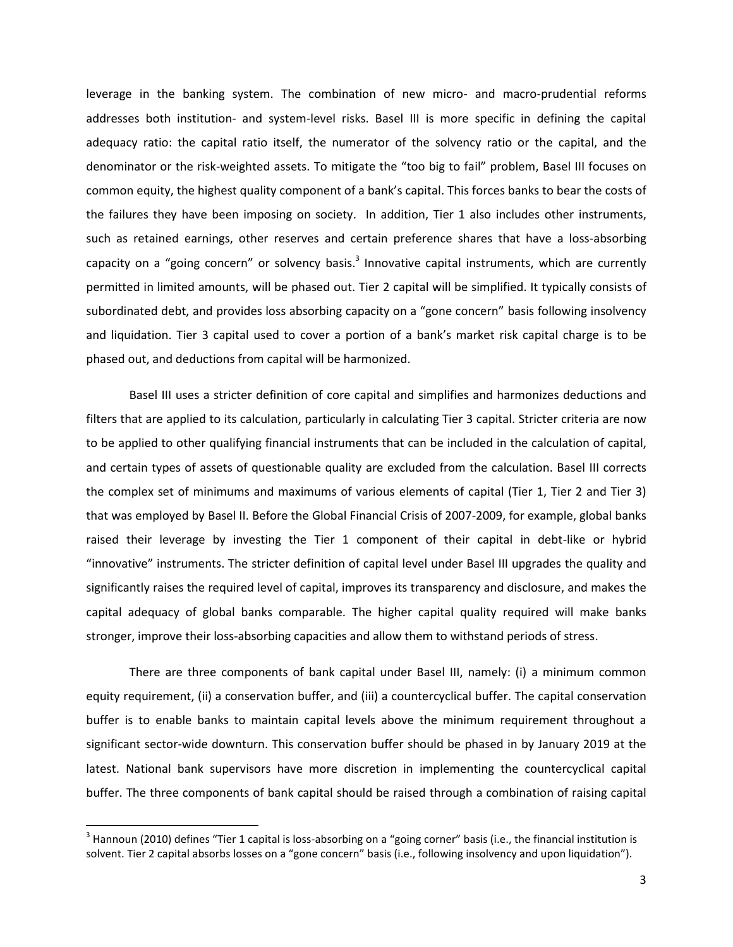leverage in the banking system. The combination of new micro- and macro-prudential reforms addresses both institution- and system-level risks. Basel III is more specific in defining the capital adequacy ratio: the capital ratio itself, the numerator of the solvency ratio or the capital, and the denominator or the risk-weighted assets. To mitigate the "too big to fail" problem, Basel III focuses on common equity, the highest quality component of a bank's capital. This forces banks to bear the costs of the failures they have been imposing on society. In addition, Tier 1 also includes other instruments, such as retained earnings, other reserves and certain preference shares that have a loss-absorbing capacity on a "going concern" or solvency basis.<sup>3</sup> Innovative capital instruments, which are currently permitted in limited amounts, will be phased out. Tier 2 capital will be simplified. It typically consists of subordinated debt, and provides loss absorbing capacity on a "gone concern" basis following insolvency and liquidation. Tier 3 capital used to cover a portion of a bank's market risk capital charge is to be phased out, and deductions from capital will be harmonized.

Basel III uses a stricter definition of core capital and simplifies and harmonizes deductions and filters that are applied to its calculation, particularly in calculating Tier 3 capital. Stricter criteria are now to be applied to other qualifying financial instruments that can be included in the calculation of capital, and certain types of assets of questionable quality are excluded from the calculation. Basel III corrects the complex set of minimums and maximums of various elements of capital (Tier 1, Tier 2 and Tier 3) that was employed by Basel II. Before the Global Financial Crisis of 2007-2009, for example, global banks raised their leverage by investing the Tier 1 component of their capital in debt-like or hybrid "innovative" instruments. The stricter definition of capital level under Basel III upgrades the quality and significantly raises the required level of capital, improves its transparency and disclosure, and makes the capital adequacy of global banks comparable. The higher capital quality required will make banks stronger, improve their loss-absorbing capacities and allow them to withstand periods of stress.

There are three components of bank capital under Basel III, namely: (i) a minimum common equity requirement, (ii) a conservation buffer, and (iii) a countercyclical buffer. The capital conservation buffer is to enable banks to maintain capital levels above the minimum requirement throughout a significant sector-wide downturn. This conservation buffer should be phased in by January 2019 at the latest. National bank supervisors have more discretion in implementing the countercyclical capital buffer. The three components of bank capital should be raised through a combination of raising capital

l

 $^3$  Hannoun (2010) defines "Tier 1 capital is loss-absorbing on a "going corner" basis (i.e., the financial institution is solvent. Tier 2 capital absorbs losses on a "gone concern" basis (i.e., following insolvency and upon liquidation").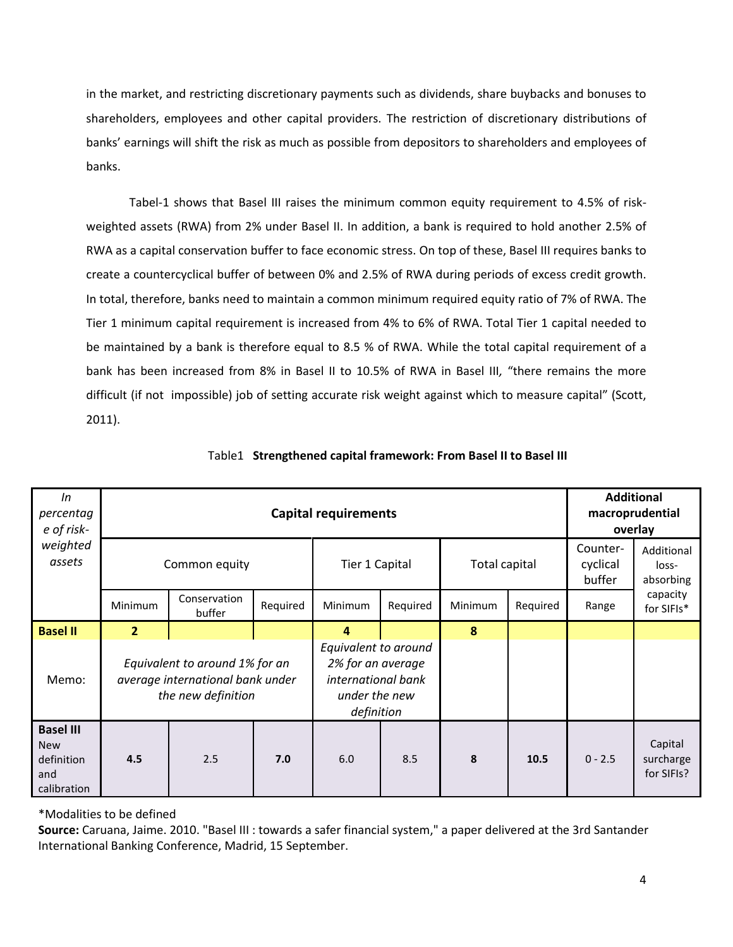in the market, and restricting discretionary payments such as dividends, share buybacks and bonuses to shareholders, employees and other capital providers. The restriction of discretionary distributions of banks' earnings will shift the risk as much as possible from depositors to shareholders and employees of banks.

Tabel-1 shows that Basel III raises the minimum common equity requirement to 4.5% of riskweighted assets (RWA) from 2% under Basel II. In addition, a bank is required to hold another 2.5% of RWA as a capital conservation buffer to face economic stress. On top of these, Basel III requires banks to create a countercyclical buffer of between 0% and 2.5% of RWA during periods of excess credit growth. In total, therefore, banks need to maintain a common minimum required equity ratio of 7% of RWA. The Tier 1 minimum capital requirement is increased from 4% to 6% of RWA. Total Tier 1 capital needed to be maintained by a bank is therefore equal to 8.5 % of RWA. While the total capital requirement of a bank has been increased from 8% in Basel II to 10.5% of RWA in Basel III*,* "there remains the more difficult (if not impossible) job of setting accurate risk weight against which to measure capital" (Scott, 2011).

| In<br>percentag<br>e of risk-<br>weighted<br>assets                | <b>Capital requirements</b>                                                              |                        |          |                                                                                                |          |                      |          | <b>Additional</b><br>macroprudential<br>overlay |                                    |  |
|--------------------------------------------------------------------|------------------------------------------------------------------------------------------|------------------------|----------|------------------------------------------------------------------------------------------------|----------|----------------------|----------|-------------------------------------------------|------------------------------------|--|
|                                                                    | Common equity                                                                            |                        |          | Tier 1 Capital                                                                                 |          | <b>Total capital</b> |          | Counter-<br>cyclical<br>buffer                  | Additional<br>loss-<br>absorbing   |  |
|                                                                    | Minimum                                                                                  | Conservation<br>buffer | Required | <b>Minimum</b>                                                                                 | Required | Minimum              | Required | Range                                           | capacity<br>for SIFIs*             |  |
| <b>Basel II</b>                                                    | $\overline{2}$                                                                           |                        |          | 4                                                                                              |          | 8                    |          |                                                 |                                    |  |
| Memo:                                                              | Equivalent to around 1% for an<br>average international bank under<br>the new definition |                        |          | Equivalent to around<br>2% for an average<br>international bank<br>under the new<br>definition |          |                      |          |                                                 |                                    |  |
| <b>Basel III</b><br><b>New</b><br>definition<br>and<br>calibration | 4.5                                                                                      | 2.5                    | 7.0      | 6.0                                                                                            | 8.5      | 8                    | 10.5     | $0 - 2.5$                                       | Capital<br>surcharge<br>for SIFIs? |  |

|  | Table1 Strengthened capital framework: From Basel II to Basel III |  |  |  |  |  |  |  |
|--|-------------------------------------------------------------------|--|--|--|--|--|--|--|
|--|-------------------------------------------------------------------|--|--|--|--|--|--|--|

\*Modalities to be defined

**Source:** Caruana, Jaime. 2010. "Basel III : towards a safer financial system," a paper delivered at the 3rd Santander International Banking Conference, Madrid, 15 September.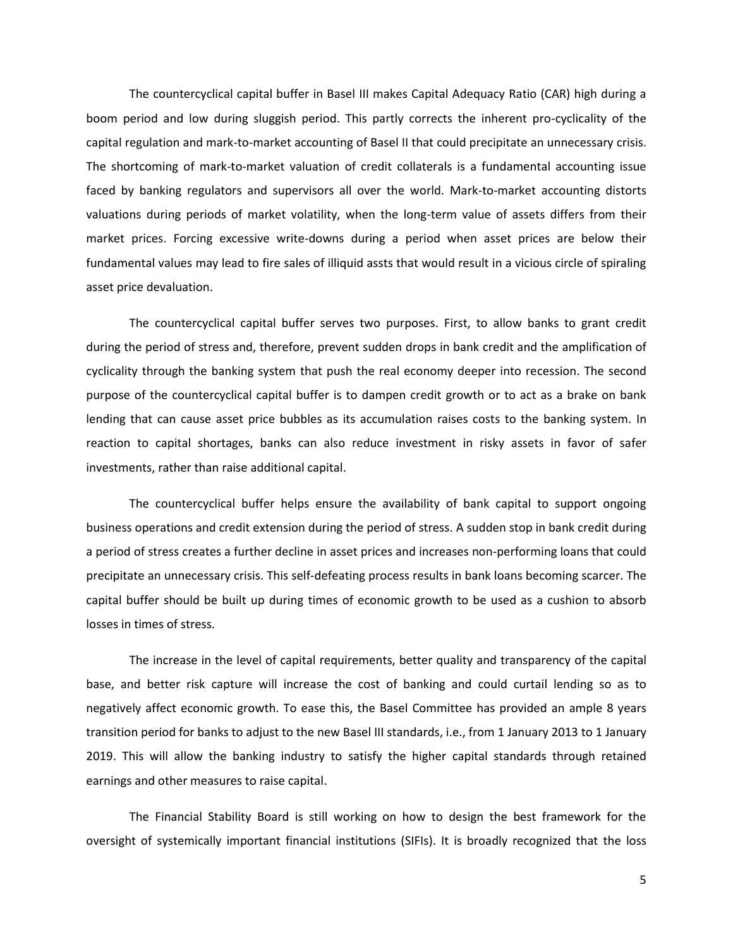The countercyclical capital buffer in Basel III makes Capital Adequacy Ratio (CAR) high during a boom period and low during sluggish period. This partly corrects the inherent pro-cyclicality of the capital regulation and mark-to-market accounting of Basel II that could precipitate an unnecessary crisis. The shortcoming of mark-to-market valuation of credit collaterals is a fundamental accounting issue faced by banking regulators and supervisors all over the world. Mark-to-market accounting distorts valuations during periods of market volatility, when the long-term value of assets differs from their market prices. Forcing excessive write-downs during a period when asset prices are below their fundamental values may lead to fire sales of illiquid assts that would result in a vicious circle of spiraling asset price devaluation.

The countercyclical capital buffer serves two purposes. First, to allow banks to grant credit during the period of stress and, therefore, prevent sudden drops in bank credit and the amplification of cyclicality through the banking system that push the real economy deeper into recession. The second purpose of the countercyclical capital buffer is to dampen credit growth or to act as a brake on bank lending that can cause asset price bubbles as its accumulation raises costs to the banking system. In reaction to capital shortages, banks can also reduce investment in risky assets in favor of safer investments, rather than raise additional capital.

The countercyclical buffer helps ensure the availability of bank capital to support ongoing business operations and credit extension during the period of stress. A sudden stop in bank credit during a period of stress creates a further decline in asset prices and increases non-performing loans that could precipitate an unnecessary crisis. This self-defeating process results in bank loans becoming scarcer. The capital buffer should be built up during times of economic growth to be used as a cushion to absorb losses in times of stress.

The increase in the level of capital requirements, better quality and transparency of the capital base, and better risk capture will increase the cost of banking and could curtail lending so as to negatively affect economic growth. To ease this, the Basel Committee has provided an ample 8 years transition period for banks to adjust to the new Basel III standards, i.e., from 1 January 2013 to 1 January 2019. This will allow the banking industry to satisfy the higher capital standards through retained earnings and other measures to raise capital.

The Financial Stability Board is still working on how to design the best framework for the oversight of systemically important financial institutions (SIFIs). It is broadly recognized that the loss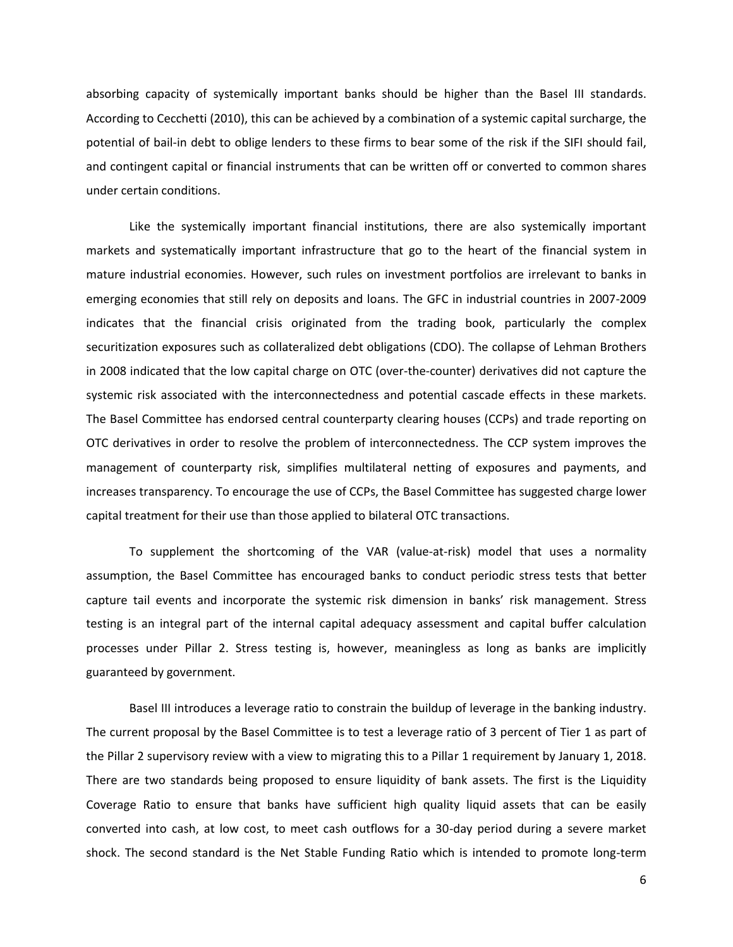absorbing capacity of systemically important banks should be higher than the Basel III standards. According to Cecchetti (2010), this can be achieved by a combination of a systemic capital surcharge, the potential of bail-in debt to oblige lenders to these firms to bear some of the risk if the SIFI should fail, and contingent capital or financial instruments that can be written off or converted to common shares under certain conditions.

Like the systemically important financial institutions, there are also systemically important markets and systematically important infrastructure that go to the heart of the financial system in mature industrial economies. However, such rules on investment portfolios are irrelevant to banks in emerging economies that still rely on deposits and loans. The GFC in industrial countries in 2007-2009 indicates that the financial crisis originated from the trading book, particularly the complex securitization exposures such as collateralized debt obligations (CDO). The collapse of Lehman Brothers in 2008 indicated that the low capital charge on OTC (over-the-counter) derivatives did not capture the systemic risk associated with the interconnectedness and potential cascade effects in these markets. The Basel Committee has endorsed central counterparty clearing houses (CCPs) and trade reporting on OTC derivatives in order to resolve the problem of interconnectedness. The CCP system improves the management of counterparty risk, simplifies multilateral netting of exposures and payments, and increases transparency. To encourage the use of CCPs, the Basel Committee has suggested charge lower capital treatment for their use than those applied to bilateral OTC transactions.

To supplement the shortcoming of the VAR (value-at-risk) model that uses a normality assumption, the Basel Committee has encouraged banks to conduct periodic stress tests that better capture tail events and incorporate the systemic risk dimension in banks' risk management. Stress testing is an integral part of the internal capital adequacy assessment and capital buffer calculation processes under Pillar 2. Stress testing is, however, meaningless as long as banks are implicitly guaranteed by government.

Basel III introduces a leverage ratio to constrain the buildup of leverage in the banking industry. The current proposal by the Basel Committee is to test a leverage ratio of 3 percent of Tier 1 as part of the Pillar 2 supervisory review with a view to migrating this to a Pillar 1 requirement by January 1, 2018. There are two standards being proposed to ensure liquidity of bank assets. The first is the Liquidity Coverage Ratio to ensure that banks have sufficient high quality liquid assets that can be easily converted into cash, at low cost, to meet cash outflows for a 30-day period during a severe market shock. The second standard is the Net Stable Funding Ratio which is intended to promote long-term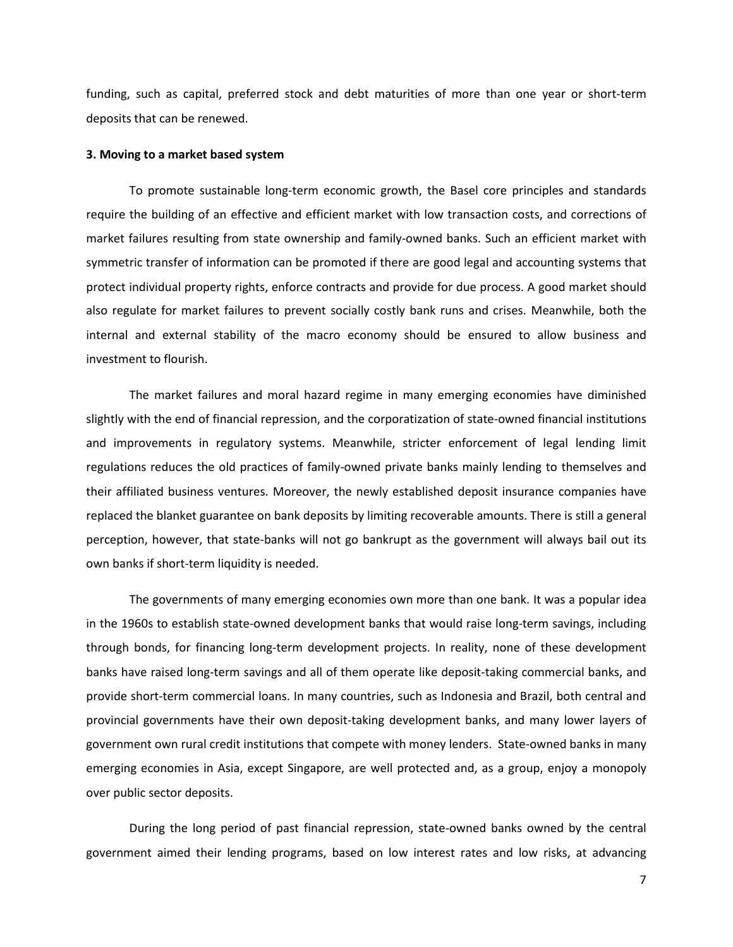funding, such as capital, preferred stock and debt maturities of more than one year or short-term deposits that can be renewed.

#### **3. Moving to a market based system**

To promote sustainable long-term economic growth, the Basel core principles and standards require the building of an effective and efficient market with low transaction costs, and corrections of market failures resulting from state ownership and family-owned banks. Such an efficient market with symmetric transfer of information can be promoted if there are good legal and accounting systems that protect individual property rights, enforce contracts and provide for due process. A good market should also regulate for market failures to prevent socially costly bank runs and crises. Meanwhile, both the internal and external stability of the macro economy should be ensured to allow business and investment to flourish.

The market failures and moral hazard regime in many emerging economies have diminished slightly with the end of financial repression, and the corporatization of state-owned financial institutions and improvements in regulatory systems. Meanwhile, stricter enforcement of legal lending limit regulations reduces the old practices of family-owned private banks mainly lending to themselves and their affiliated business ventures. Moreover, the newly established deposit insurance companies have replaced the blanket guarantee on bank deposits by limiting recoverable amounts. There is still a general perception, however, that state-banks will not go bankrupt as the government will always bail out its own banks if short-term liquidity is needed.

The governments of many emerging economies own more than one bank. It was a popular idea in the 1960s to establish state-owned development banks that would raise long-term savings, including through bonds, for financing long-term development projects. In reality, none of these development banks have raised long-term savings and all of them operate like deposit-taking commercial banks, and provide short-term commercial loans. In many countries, such as Indonesia and Brazil, both central and provincial governments have their own deposit-taking development banks, and many lower layers of government own rural credit institutions that compete with money lenders. State-owned banks in many emerging economies in Asia, except Singapore, are well protected and, as a group, enjoy a monopoly over public sector deposits.

During the long period of past financial repression, state-owned banks owned by the central government aimed their lending programs, based on low interest rates and low risks, at advancing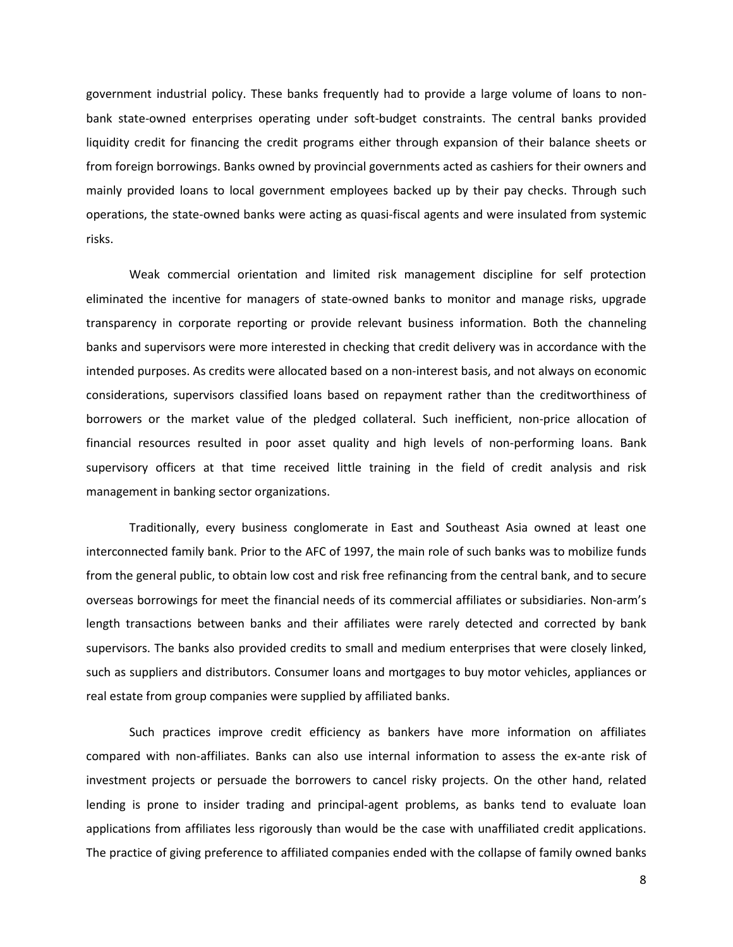government industrial policy. These banks frequently had to provide a large volume of loans to nonbank state-owned enterprises operating under soft-budget constraints. The central banks provided liquidity credit for financing the credit programs either through expansion of their balance sheets or from foreign borrowings. Banks owned by provincial governments acted as cashiers for their owners and mainly provided loans to local government employees backed up by their pay checks. Through such operations, the state-owned banks were acting as quasi-fiscal agents and were insulated from systemic risks.

Weak commercial orientation and limited risk management discipline for self protection eliminated the incentive for managers of state-owned banks to monitor and manage risks, upgrade transparency in corporate reporting or provide relevant business information. Both the channeling banks and supervisors were more interested in checking that credit delivery was in accordance with the intended purposes. As credits were allocated based on a non-interest basis, and not always on economic considerations, supervisors classified loans based on repayment rather than the creditworthiness of borrowers or the market value of the pledged collateral. Such inefficient, non-price allocation of financial resources resulted in poor asset quality and high levels of non-performing loans. Bank supervisory officers at that time received little training in the field of credit analysis and risk management in banking sector organizations.

Traditionally, every business conglomerate in East and Southeast Asia owned at least one interconnected family bank. Prior to the AFC of 1997, the main role of such banks was to mobilize funds from the general public, to obtain low cost and risk free refinancing from the central bank, and to secure overseas borrowings for meet the financial needs of its commercial affiliates or subsidiaries. Non-arm's length transactions between banks and their affiliates were rarely detected and corrected by bank supervisors. The banks also provided credits to small and medium enterprises that were closely linked, such as suppliers and distributors. Consumer loans and mortgages to buy motor vehicles, appliances or real estate from group companies were supplied by affiliated banks.

Such practices improve credit efficiency as bankers have more information on affiliates compared with non-affiliates. Banks can also use internal information to assess the ex-ante risk of investment projects or persuade the borrowers to cancel risky projects. On the other hand, related lending is prone to insider trading and principal-agent problems, as banks tend to evaluate loan applications from affiliates less rigorously than would be the case with unaffiliated credit applications. The practice of giving preference to affiliated companies ended with the collapse of family owned banks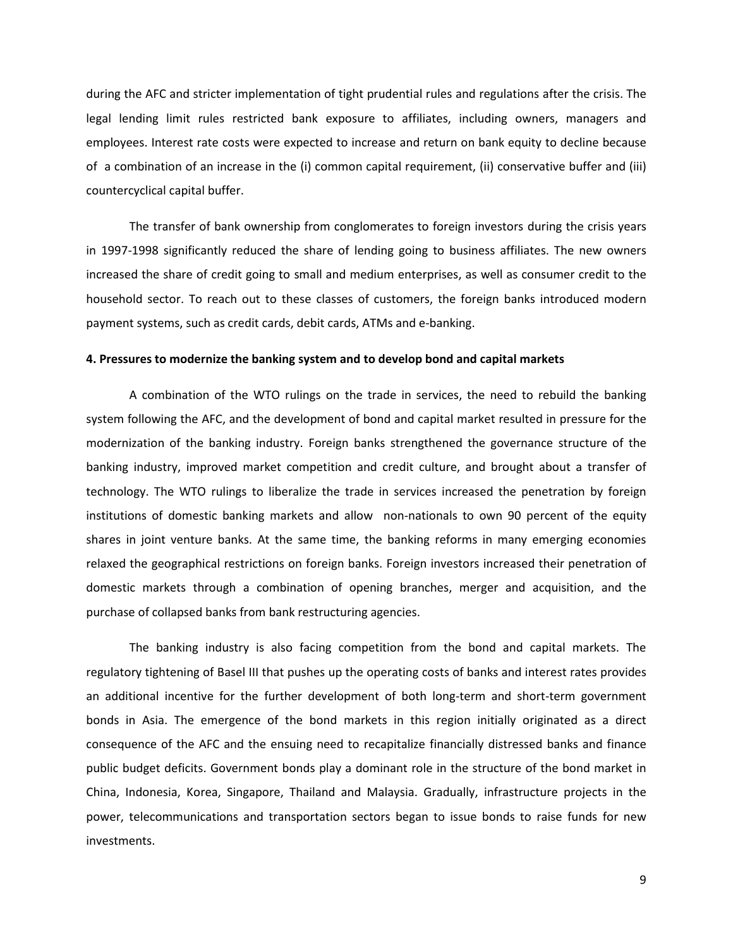during the AFC and stricter implementation of tight prudential rules and regulations after the crisis. The legal lending limit rules restricted bank exposure to affiliates, including owners, managers and employees. Interest rate costs were expected to increase and return on bank equity to decline because of a combination of an increase in the (i) common capital requirement, (ii) conservative buffer and (iii) countercyclical capital buffer.

The transfer of bank ownership from conglomerates to foreign investors during the crisis years in 1997-1998 significantly reduced the share of lending going to business affiliates. The new owners increased the share of credit going to small and medium enterprises, as well as consumer credit to the household sector. To reach out to these classes of customers, the foreign banks introduced modern payment systems, such as credit cards, debit cards, ATMs and e-banking.

#### **4. Pressures to modernize the banking system and to develop bond and capital markets**

A combination of the WTO rulings on the trade in services, the need to rebuild the banking system following the AFC, and the development of bond and capital market resulted in pressure for the modernization of the banking industry. Foreign banks strengthened the governance structure of the banking industry, improved market competition and credit culture, and brought about a transfer of technology. The WTO rulings to liberalize the trade in services increased the penetration by foreign institutions of domestic banking markets and allow non-nationals to own 90 percent of the equity shares in joint venture banks. At the same time, the banking reforms in many emerging economies relaxed the geographical restrictions on foreign banks. Foreign investors increased their penetration of domestic markets through a combination of opening branches, merger and acquisition, and the purchase of collapsed banks from bank restructuring agencies.

The banking industry is also facing competition from the bond and capital markets. The regulatory tightening of Basel III that pushes up the operating costs of banks and interest rates provides an additional incentive for the further development of both long-term and short-term government bonds in Asia. The emergence of the bond markets in this region initially originated as a direct consequence of the AFC and the ensuing need to recapitalize financially distressed banks and finance public budget deficits. Government bonds play a dominant role in the structure of the bond market in China, Indonesia, Korea, Singapore, Thailand and Malaysia. Gradually, infrastructure projects in the power, telecommunications and transportation sectors began to issue bonds to raise funds for new investments.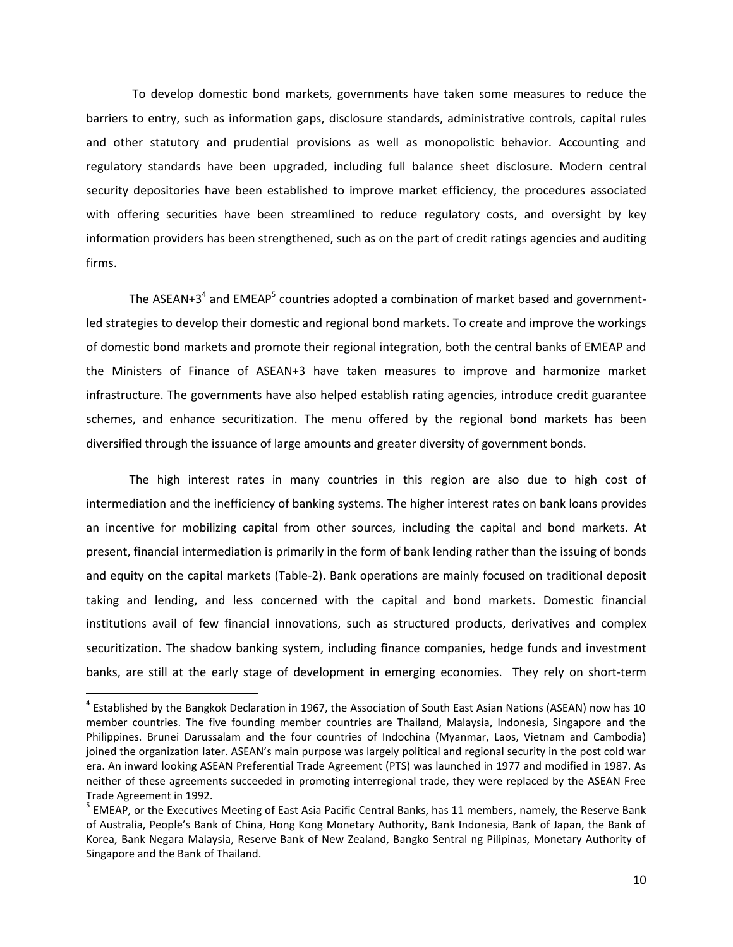To develop domestic bond markets, governments have taken some measures to reduce the barriers to entry, such as information gaps, disclosure standards, administrative controls, capital rules and other statutory and prudential provisions as well as monopolistic behavior. Accounting and regulatory standards have been upgraded, including full balance sheet disclosure. Modern central security depositories have been established to improve market efficiency, the procedures associated with offering securities have been streamlined to reduce regulatory costs, and oversight by key information providers has been strengthened, such as on the part of credit ratings agencies and auditing firms.

The ASEAN+3<sup>4</sup> and EMEAP<sup>5</sup> countries adopted a combination of market based and governmentled strategies to develop their domestic and regional bond markets. To create and improve the workings of domestic bond markets and promote their regional integration, both the central banks of EMEAP and the Ministers of Finance of ASEAN+3 have taken measures to improve and harmonize market infrastructure. The governments have also helped establish rating agencies, introduce credit guarantee schemes, and enhance securitization. The menu offered by the regional bond markets has been diversified through the issuance of large amounts and greater diversity of government bonds.

The high interest rates in many countries in this region are also due to high cost of intermediation and the inefficiency of banking systems. The higher interest rates on bank loans provides an incentive for mobilizing capital from other sources, including the capital and bond markets. At present, financial intermediation is primarily in the form of bank lending rather than the issuing of bonds and equity on the capital markets (Table-2). Bank operations are mainly focused on traditional deposit taking and lending, and less concerned with the capital and bond markets. Domestic financial institutions avail of few financial innovations, such as structured products, derivatives and complex securitization. The shadow banking system, including finance companies, hedge funds and investment banks, are still at the early stage of development in emerging economies. They rely on short-term

 $\overline{a}$ 

<sup>&</sup>lt;sup>4</sup> Established by the Bangkok Declaration in 1967, the Association of South East Asian Nations (ASEAN) now has 10 member countries. The five founding member countries are Thailand, Malaysia, Indonesia, Singapore and the Philippines. Brunei Darussalam and the four countries of Indochina (Myanmar, Laos, Vietnam and Cambodia) joined the organization later. ASEAN's main purpose was largely political and regional security in the post cold war era. An inward looking ASEAN Preferential Trade Agreement (PTS) was launched in 1977 and modified in 1987. As neither of these agreements succeeded in promoting interregional trade, they were replaced by the ASEAN Free Trade Agreement in 1992.

<sup>&</sup>lt;sup>5</sup> EMEAP, or the Executives Meeting of East Asia Pacific Central Banks, has 11 members, namely, the Reserve Bank of Australia, People's Bank of China, Hong Kong Monetary Authority, Bank Indonesia, Bank of Japan, the Bank of Korea, Bank Negara Malaysia, Reserve Bank of New Zealand, Bangko Sentral ng Pilipinas, Monetary Authority of Singapore and the Bank of Thailand.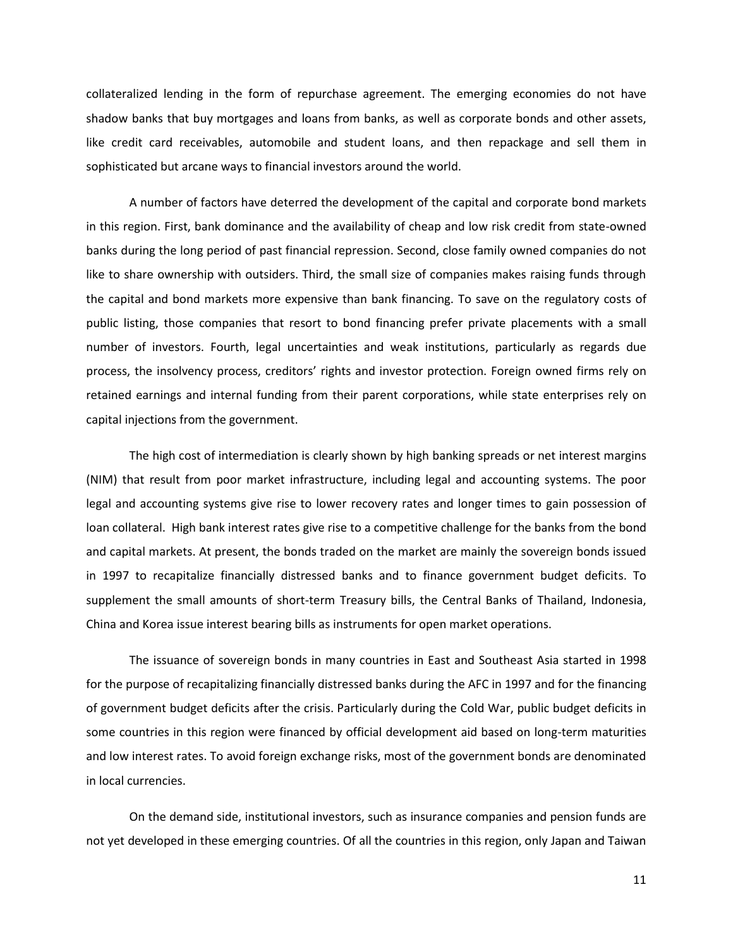collateralized lending in the form of repurchase agreement. The emerging economies do not have shadow banks that buy mortgages and loans from banks, as well as corporate bonds and other assets, like credit card receivables, automobile and student loans, and then repackage and sell them in sophisticated but arcane ways to financial investors around the world.

A number of factors have deterred the development of the capital and corporate bond markets in this region. First, bank dominance and the availability of cheap and low risk credit from state-owned banks during the long period of past financial repression. Second, close family owned companies do not like to share ownership with outsiders. Third, the small size of companies makes raising funds through the capital and bond markets more expensive than bank financing. To save on the regulatory costs of public listing, those companies that resort to bond financing prefer private placements with a small number of investors. Fourth, legal uncertainties and weak institutions, particularly as regards due process, the insolvency process, creditors' rights and investor protection. Foreign owned firms rely on retained earnings and internal funding from their parent corporations, while state enterprises rely on capital injections from the government.

The high cost of intermediation is clearly shown by high banking spreads or net interest margins (NIM) that result from poor market infrastructure, including legal and accounting systems. The poor legal and accounting systems give rise to lower recovery rates and longer times to gain possession of loan collateral. High bank interest rates give rise to a competitive challenge for the banks from the bond and capital markets. At present, the bonds traded on the market are mainly the sovereign bonds issued in 1997 to recapitalize financially distressed banks and to finance government budget deficits. To supplement the small amounts of short-term Treasury bills, the Central Banks of Thailand, Indonesia, China and Korea issue interest bearing bills as instruments for open market operations.

The issuance of sovereign bonds in many countries in East and Southeast Asia started in 1998 for the purpose of recapitalizing financially distressed banks during the AFC in 1997 and for the financing of government budget deficits after the crisis. Particularly during the Cold War, public budget deficits in some countries in this region were financed by official development aid based on long-term maturities and low interest rates. To avoid foreign exchange risks, most of the government bonds are denominated in local currencies.

On the demand side, institutional investors, such as insurance companies and pension funds are not yet developed in these emerging countries. Of all the countries in this region, only Japan and Taiwan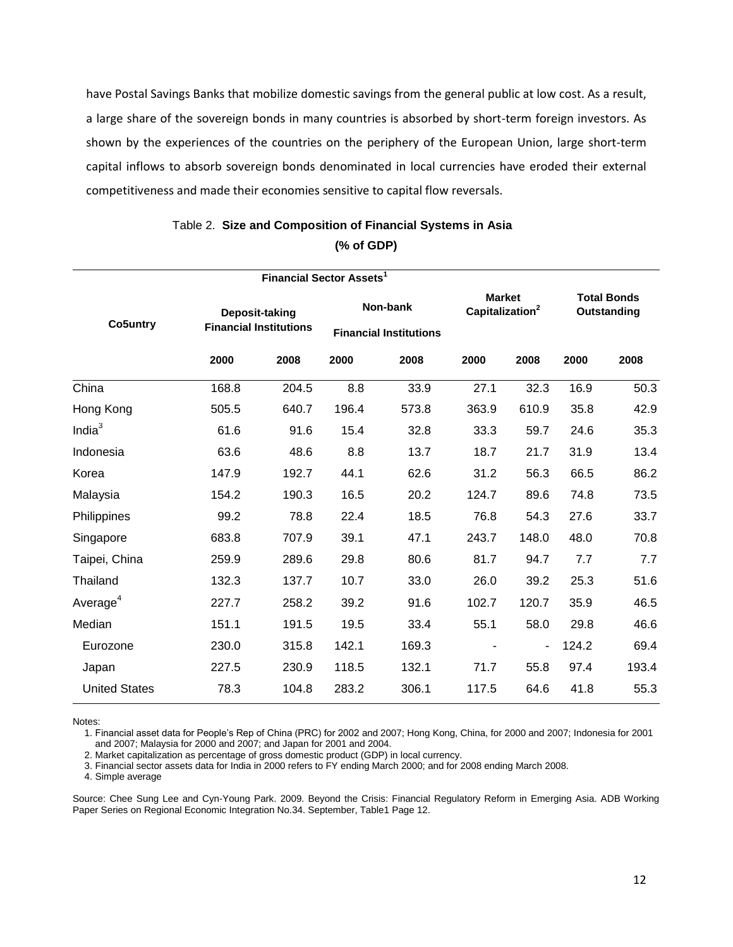have Postal Savings Banks that mobilize domestic savings from the general public at low cost. As a result, a large share of the sovereign bonds in many countries is absorbed by short-term foreign investors. As shown by the experiences of the countries on the periphery of the European Union, large short-term capital inflows to absorb sovereign bonds denominated in local currencies have eroded their external competitiveness and made their economies sensitive to capital flow reversals.

| Co5untry             | Deposit-taking<br><b>Financial Institutions</b> |       | Non-bank<br><b>Financial Institutions</b> |       | <b>Market</b><br>Capitalization <sup>2</sup> |                          | <b>Total Bonds</b><br><b>Outstanding</b> |       |
|----------------------|-------------------------------------------------|-------|-------------------------------------------|-------|----------------------------------------------|--------------------------|------------------------------------------|-------|
|                      | 2000                                            | 2008  | 2000                                      | 2008  | 2000                                         | 2008                     | 2000                                     | 2008  |
| China                | 168.8                                           | 204.5 | 8.8                                       | 33.9  | 27.1                                         | 32.3                     | 16.9                                     | 50.3  |
| Hong Kong            | 505.5                                           | 640.7 | 196.4                                     | 573.8 | 363.9                                        | 610.9                    | 35.8                                     | 42.9  |
| Indi $a^3$           | 61.6                                            | 91.6  | 15.4                                      | 32.8  | 33.3                                         | 59.7                     | 24.6                                     | 35.3  |
| Indonesia            | 63.6                                            | 48.6  | 8.8                                       | 13.7  | 18.7                                         | 21.7                     | 31.9                                     | 13.4  |
| Korea                | 147.9                                           | 192.7 | 44.1                                      | 62.6  | 31.2                                         | 56.3                     | 66.5                                     | 86.2  |
| Malaysia             | 154.2                                           | 190.3 | 16.5                                      | 20.2  | 124.7                                        | 89.6                     | 74.8                                     | 73.5  |
| Philippines          | 99.2                                            | 78.8  | 22.4                                      | 18.5  | 76.8                                         | 54.3                     | 27.6                                     | 33.7  |
| Singapore            | 683.8                                           | 707.9 | 39.1                                      | 47.1  | 243.7                                        | 148.0                    | 48.0                                     | 70.8  |
| Taipei, China        | 259.9                                           | 289.6 | 29.8                                      | 80.6  | 81.7                                         | 94.7                     | 7.7                                      | 7.7   |
| Thailand             | 132.3                                           | 137.7 | 10.7                                      | 33.0  | 26.0                                         | 39.2                     | 25.3                                     | 51.6  |
| Average <sup>4</sup> | 227.7                                           | 258.2 | 39.2                                      | 91.6  | 102.7                                        | 120.7                    | 35.9                                     | 46.5  |
| Median               | 151.1                                           | 191.5 | 19.5                                      | 33.4  | 55.1                                         | 58.0                     | 29.8                                     | 46.6  |
| Eurozone             | 230.0                                           | 315.8 | 142.1                                     | 169.3 |                                              | $\overline{\phantom{a}}$ | 124.2                                    | 69.4  |
| Japan                | 227.5                                           | 230.9 | 118.5                                     | 132.1 | 71.7                                         | 55.8                     | 97.4                                     | 193.4 |
| <b>United States</b> | 78.3                                            | 104.8 | 283.2                                     | 306.1 | 117.5                                        | 64.6                     | 41.8                                     | 55.3  |

# Table 2. **Size and Composition of Financial Systems in Asia (% of GDP)**

Notes:

1. Financial asset data for People's Rep of China (PRC) for 2002 and 2007; Hong Kong, China, for 2000 and 2007; Indonesia for 2001 and 2007; Malaysia for 2000 and 2007; and Japan for 2001 and 2004.

2. Market capitalization as percentage of gross domestic product (GDP) in local currency.

3. Financial sector assets data for India in 2000 refers to FY ending March 2000; and for 2008 ending March 2008.

4. Simple average

Source: Chee Sung Lee and Cyn-Young Park. 2009. Beyond the Crisis: Financial Regulatory Reform in Emerging Asia. ADB Working Paper Series on Regional Economic Integration No.34. September, Table1 Page 12.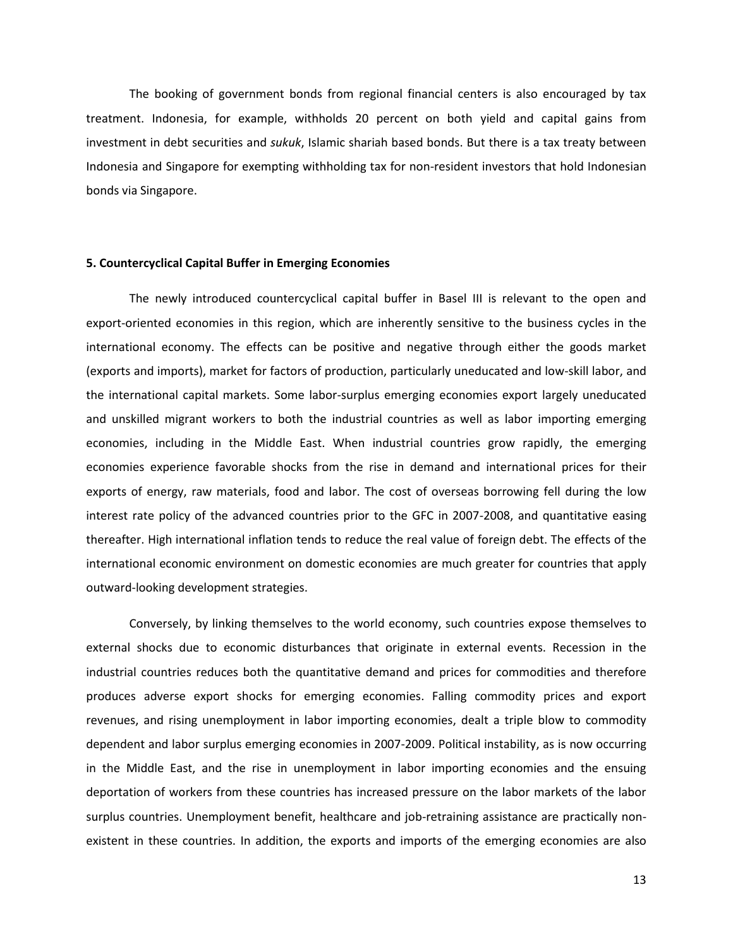The booking of government bonds from regional financial centers is also encouraged by tax treatment. Indonesia, for example, withholds 20 percent on both yield and capital gains from investment in debt securities and *sukuk*, Islamic shariah based bonds. But there is a tax treaty between Indonesia and Singapore for exempting withholding tax for non-resident investors that hold Indonesian bonds via Singapore.

## **5. Countercyclical Capital Buffer in Emerging Economies**

The newly introduced countercyclical capital buffer in Basel III is relevant to the open and export-oriented economies in this region, which are inherently sensitive to the business cycles in the international economy. The effects can be positive and negative through either the goods market (exports and imports), market for factors of production, particularly uneducated and low-skill labor, and the international capital markets. Some labor-surplus emerging economies export largely uneducated and unskilled migrant workers to both the industrial countries as well as labor importing emerging economies, including in the Middle East. When industrial countries grow rapidly, the emerging economies experience favorable shocks from the rise in demand and international prices for their exports of energy, raw materials, food and labor. The cost of overseas borrowing fell during the low interest rate policy of the advanced countries prior to the GFC in 2007-2008, and quantitative easing thereafter. High international inflation tends to reduce the real value of foreign debt. The effects of the international economic environment on domestic economies are much greater for countries that apply outward-looking development strategies.

Conversely, by linking themselves to the world economy, such countries expose themselves to external shocks due to economic disturbances that originate in external events. Recession in the industrial countries reduces both the quantitative demand and prices for commodities and therefore produces adverse export shocks for emerging economies. Falling commodity prices and export revenues, and rising unemployment in labor importing economies, dealt a triple blow to commodity dependent and labor surplus emerging economies in 2007-2009. Political instability, as is now occurring in the Middle East, and the rise in unemployment in labor importing economies and the ensuing deportation of workers from these countries has increased pressure on the labor markets of the labor surplus countries. Unemployment benefit, healthcare and job-retraining assistance are practically nonexistent in these countries. In addition, the exports and imports of the emerging economies are also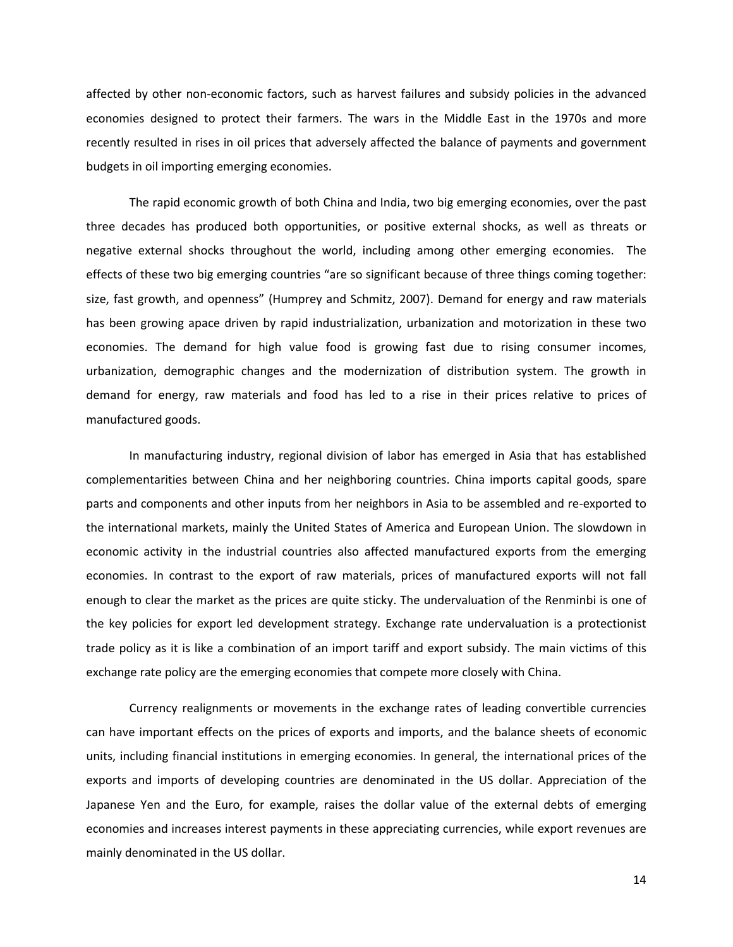affected by other non-economic factors, such as harvest failures and subsidy policies in the advanced economies designed to protect their farmers. The wars in the Middle East in the 1970s and more recently resulted in rises in oil prices that adversely affected the balance of payments and government budgets in oil importing emerging economies.

The rapid economic growth of both China and India, two big emerging economies, over the past three decades has produced both opportunities, or positive external shocks, as well as threats or negative external shocks throughout the world, including among other emerging economies. The effects of these two big emerging countries "are so significant because of three things coming together: size, fast growth, and openness" (Humprey and Schmitz, 2007). Demand for energy and raw materials has been growing apace driven by rapid industrialization, urbanization and motorization in these two economies. The demand for high value food is growing fast due to rising consumer incomes, urbanization, demographic changes and the modernization of distribution system. The growth in demand for energy, raw materials and food has led to a rise in their prices relative to prices of manufactured goods.

In manufacturing industry, regional division of labor has emerged in Asia that has established complementarities between China and her neighboring countries. China imports capital goods, spare parts and components and other inputs from her neighbors in Asia to be assembled and re-exported to the international markets, mainly the United States of America and European Union. The slowdown in economic activity in the industrial countries also affected manufactured exports from the emerging economies. In contrast to the export of raw materials, prices of manufactured exports will not fall enough to clear the market as the prices are quite sticky. The undervaluation of the Renminbi is one of the key policies for export led development strategy. Exchange rate undervaluation is a protectionist trade policy as it is like a combination of an import tariff and export subsidy. The main victims of this exchange rate policy are the emerging economies that compete more closely with China.

Currency realignments or movements in the exchange rates of leading convertible currencies can have important effects on the prices of exports and imports, and the balance sheets of economic units, including financial institutions in emerging economies. In general, the international prices of the exports and imports of developing countries are denominated in the US dollar. Appreciation of the Japanese Yen and the Euro, for example, raises the dollar value of the external debts of emerging economies and increases interest payments in these appreciating currencies, while export revenues are mainly denominated in the US dollar.

14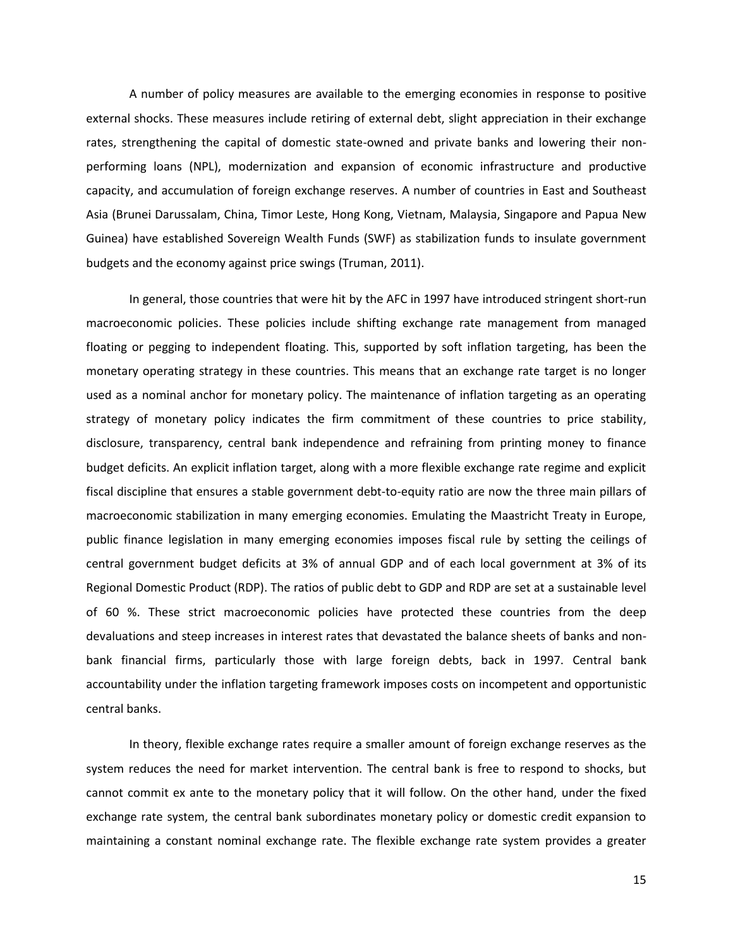A number of policy measures are available to the emerging economies in response to positive external shocks. These measures include retiring of external debt, slight appreciation in their exchange rates, strengthening the capital of domestic state-owned and private banks and lowering their nonperforming loans (NPL), modernization and expansion of economic infrastructure and productive capacity, and accumulation of foreign exchange reserves. A number of countries in East and Southeast Asia (Brunei Darussalam, China, Timor Leste, Hong Kong, Vietnam, Malaysia, Singapore and Papua New Guinea) have established Sovereign Wealth Funds (SWF) as stabilization funds to insulate government budgets and the economy against price swings (Truman, 2011).

In general, those countries that were hit by the AFC in 1997 have introduced stringent short-run macroeconomic policies. These policies include shifting exchange rate management from managed floating or pegging to independent floating. This, supported by soft inflation targeting, has been the monetary operating strategy in these countries. This means that an exchange rate target is no longer used as a nominal anchor for monetary policy. The maintenance of inflation targeting as an operating strategy of monetary policy indicates the firm commitment of these countries to price stability, disclosure, transparency, central bank independence and refraining from printing money to finance budget deficits. An explicit inflation target, along with a more flexible exchange rate regime and explicit fiscal discipline that ensures a stable government debt-to-equity ratio are now the three main pillars of macroeconomic stabilization in many emerging economies. Emulating the Maastricht Treaty in Europe, public finance legislation in many emerging economies imposes fiscal rule by setting the ceilings of central government budget deficits at 3% of annual GDP and of each local government at 3% of its Regional Domestic Product (RDP). The ratios of public debt to GDP and RDP are set at a sustainable level of 60 %. These strict macroeconomic policies have protected these countries from the deep devaluations and steep increases in interest rates that devastated the balance sheets of banks and nonbank financial firms, particularly those with large foreign debts, back in 1997. Central bank accountability under the inflation targeting framework imposes costs on incompetent and opportunistic central banks.

In theory, flexible exchange rates require a smaller amount of foreign exchange reserves as the system reduces the need for market intervention. The central bank is free to respond to shocks, but cannot commit ex ante to the monetary policy that it will follow. On the other hand, under the fixed exchange rate system, the central bank subordinates monetary policy or domestic credit expansion to maintaining a constant nominal exchange rate. The flexible exchange rate system provides a greater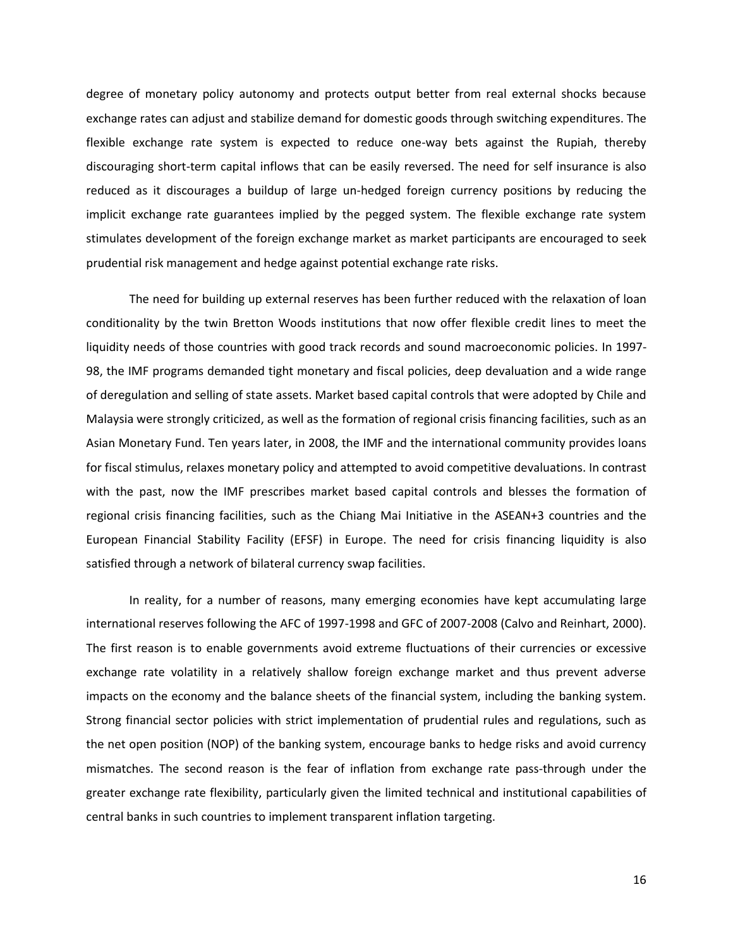degree of monetary policy autonomy and protects output better from real external shocks because exchange rates can adjust and stabilize demand for domestic goods through switching expenditures. The flexible exchange rate system is expected to reduce one-way bets against the Rupiah, thereby discouraging short-term capital inflows that can be easily reversed. The need for self insurance is also reduced as it discourages a buildup of large un-hedged foreign currency positions by reducing the implicit exchange rate guarantees implied by the pegged system. The flexible exchange rate system stimulates development of the foreign exchange market as market participants are encouraged to seek prudential risk management and hedge against potential exchange rate risks.

The need for building up external reserves has been further reduced with the relaxation of loan conditionality by the twin Bretton Woods institutions that now offer flexible credit lines to meet the liquidity needs of those countries with good track records and sound macroeconomic policies. In 1997- 98, the IMF programs demanded tight monetary and fiscal policies, deep devaluation and a wide range of deregulation and selling of state assets. Market based capital controls that were adopted by Chile and Malaysia were strongly criticized, as well as the formation of regional crisis financing facilities, such as an Asian Monetary Fund. Ten years later, in 2008, the IMF and the international community provides loans for fiscal stimulus, relaxes monetary policy and attempted to avoid competitive devaluations. In contrast with the past, now the IMF prescribes market based capital controls and blesses the formation of regional crisis financing facilities, such as the Chiang Mai Initiative in the ASEAN+3 countries and the European Financial Stability Facility (EFSF) in Europe. The need for crisis financing liquidity is also satisfied through a network of bilateral currency swap facilities.

In reality, for a number of reasons, many emerging economies have kept accumulating large international reserves following the AFC of 1997-1998 and GFC of 2007-2008 (Calvo and Reinhart, 2000). The first reason is to enable governments avoid extreme fluctuations of their currencies or excessive exchange rate volatility in a relatively shallow foreign exchange market and thus prevent adverse impacts on the economy and the balance sheets of the financial system, including the banking system. Strong financial sector policies with strict implementation of prudential rules and regulations, such as the net open position (NOP) of the banking system, encourage banks to hedge risks and avoid currency mismatches. The second reason is the fear of inflation from exchange rate pass-through under the greater exchange rate flexibility, particularly given the limited technical and institutional capabilities of central banks in such countries to implement transparent inflation targeting.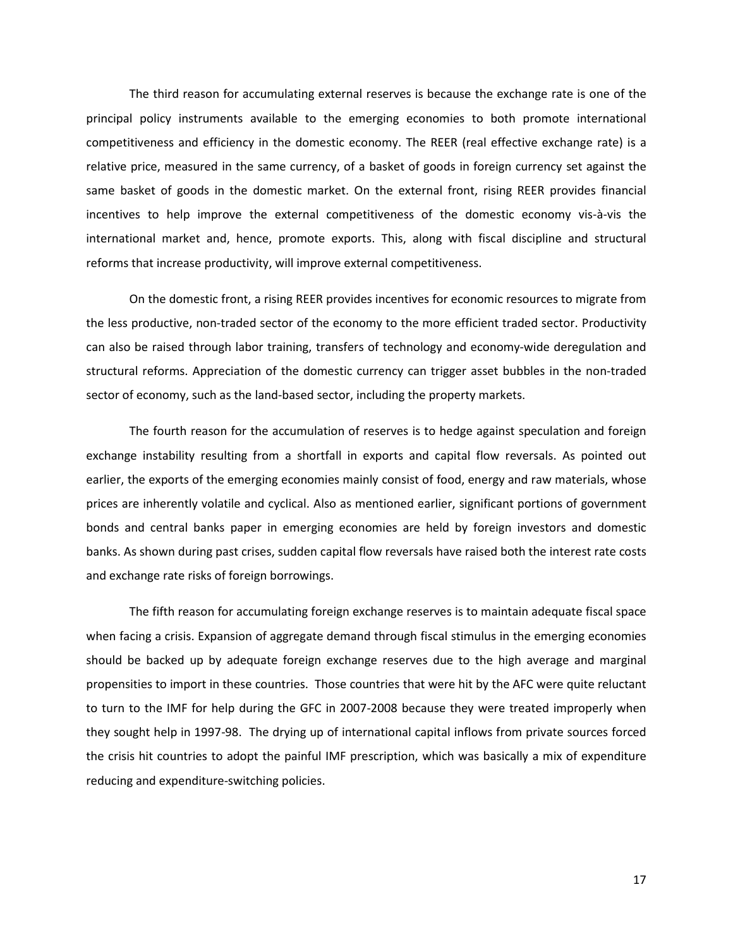The third reason for accumulating external reserves is because the exchange rate is one of the principal policy instruments available to the emerging economies to both promote international competitiveness and efficiency in the domestic economy. The REER (real effective exchange rate) is a relative price, measured in the same currency, of a basket of goods in foreign currency set against the same basket of goods in the domestic market. On the external front, rising REER provides financial incentives to help improve the external competitiveness of the domestic economy vis-à-vis the international market and, hence, promote exports. This, along with fiscal discipline and structural reforms that increase productivity, will improve external competitiveness.

On the domestic front, a rising REER provides incentives for economic resources to migrate from the less productive, non-traded sector of the economy to the more efficient traded sector. Productivity can also be raised through labor training, transfers of technology and economy-wide deregulation and structural reforms. Appreciation of the domestic currency can trigger asset bubbles in the non-traded sector of economy, such as the land-based sector, including the property markets.

The fourth reason for the accumulation of reserves is to hedge against speculation and foreign exchange instability resulting from a shortfall in exports and capital flow reversals. As pointed out earlier, the exports of the emerging economies mainly consist of food, energy and raw materials, whose prices are inherently volatile and cyclical. Also as mentioned earlier, significant portions of government bonds and central banks paper in emerging economies are held by foreign investors and domestic banks. As shown during past crises, sudden capital flow reversals have raised both the interest rate costs and exchange rate risks of foreign borrowings.

The fifth reason for accumulating foreign exchange reserves is to maintain adequate fiscal space when facing a crisis. Expansion of aggregate demand through fiscal stimulus in the emerging economies should be backed up by adequate foreign exchange reserves due to the high average and marginal propensities to import in these countries. Those countries that were hit by the AFC were quite reluctant to turn to the IMF for help during the GFC in 2007-2008 because they were treated improperly when they sought help in 1997-98. The drying up of international capital inflows from private sources forced the crisis hit countries to adopt the painful IMF prescription, which was basically a mix of expenditure reducing and expenditure-switching policies.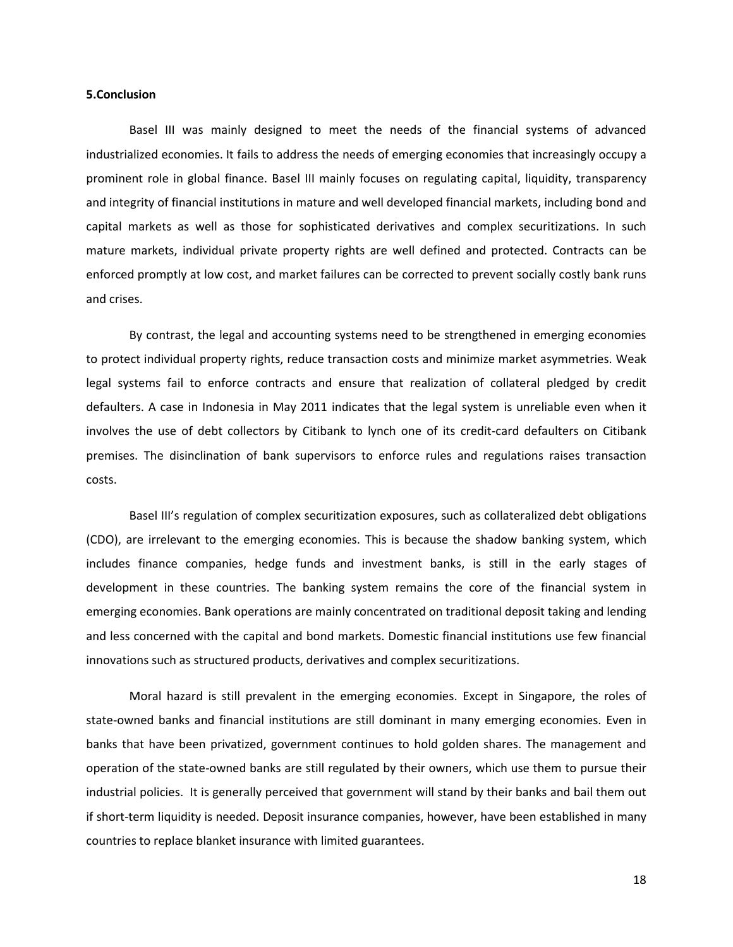#### **5.Conclusion**

Basel III was mainly designed to meet the needs of the financial systems of advanced industrialized economies. It fails to address the needs of emerging economies that increasingly occupy a prominent role in global finance. Basel III mainly focuses on regulating capital, liquidity, transparency and integrity of financial institutions in mature and well developed financial markets, including bond and capital markets as well as those for sophisticated derivatives and complex securitizations. In such mature markets, individual private property rights are well defined and protected. Contracts can be enforced promptly at low cost, and market failures can be corrected to prevent socially costly bank runs and crises.

By contrast, the legal and accounting systems need to be strengthened in emerging economies to protect individual property rights, reduce transaction costs and minimize market asymmetries. Weak legal systems fail to enforce contracts and ensure that realization of collateral pledged by credit defaulters. A case in Indonesia in May 2011 indicates that the legal system is unreliable even when it involves the use of debt collectors by Citibank to lynch one of its credit-card defaulters on Citibank premises. The disinclination of bank supervisors to enforce rules and regulations raises transaction costs.

Basel III's regulation of complex securitization exposures, such as collateralized debt obligations (CDO), are irrelevant to the emerging economies. This is because the shadow banking system, which includes finance companies, hedge funds and investment banks, is still in the early stages of development in these countries. The banking system remains the core of the financial system in emerging economies. Bank operations are mainly concentrated on traditional deposit taking and lending and less concerned with the capital and bond markets. Domestic financial institutions use few financial innovations such as structured products, derivatives and complex securitizations.

Moral hazard is still prevalent in the emerging economies. Except in Singapore, the roles of state-owned banks and financial institutions are still dominant in many emerging economies. Even in banks that have been privatized, government continues to hold golden shares. The management and operation of the state-owned banks are still regulated by their owners, which use them to pursue their industrial policies. It is generally perceived that government will stand by their banks and bail them out if short-term liquidity is needed. Deposit insurance companies, however, have been established in many countries to replace blanket insurance with limited guarantees.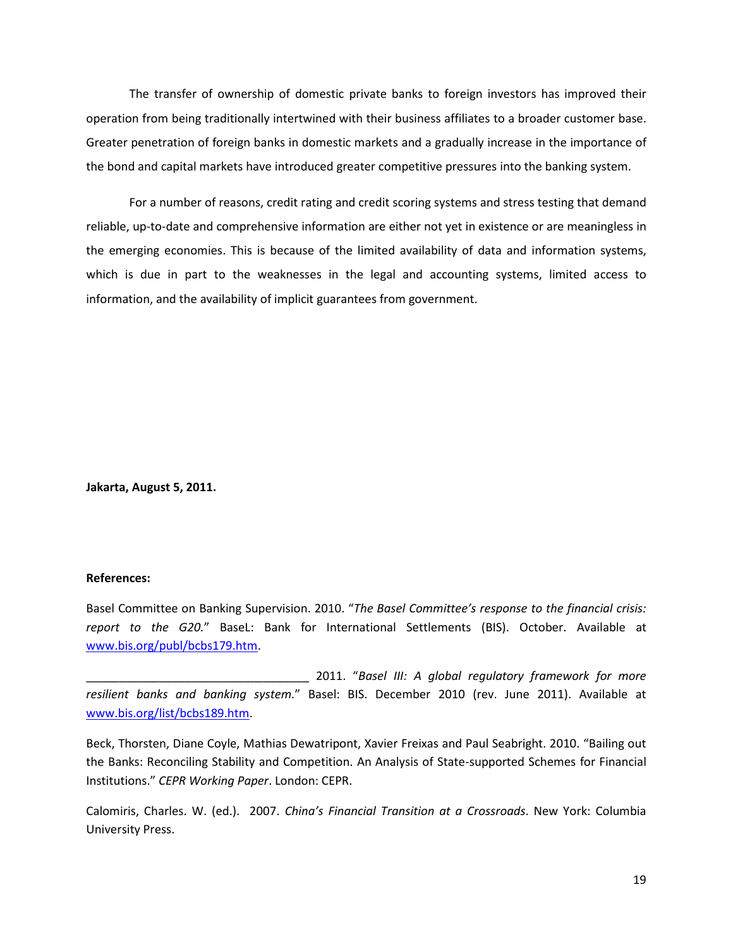The transfer of ownership of domestic private banks to foreign investors has improved their operation from being traditionally intertwined with their business affiliates to a broader customer base. Greater penetration of foreign banks in domestic markets and a gradually increase in the importance of the bond and capital markets have introduced greater competitive pressures into the banking system.

For a number of reasons, credit rating and credit scoring systems and stress testing that demand reliable, up-to-date and comprehensive information are either not yet in existence or are meaningless in the emerging economies. This is because of the limited availability of data and information systems, which is due in part to the weaknesses in the legal and accounting systems, limited access to information, and the availability of implicit guarantees from government.

**Jakarta, August 5, 2011.**

## **References:**

Basel Committee on Banking Supervision. 2010. "*The Basel Committee's response to the financial crisis: report to the G20.*" BaseL: Bank for International Settlements (BIS). October. Available at [www.bis.org/publ/bcbs179.htm.](http://www.bis.org/publ/bcbs179.htm)

\_\_\_\_\_\_\_\_\_\_\_\_\_\_\_\_\_\_\_\_\_\_\_\_\_\_\_\_\_\_\_\_\_\_ 2011. "*Basel III: A global regulatory framework for more resilient banks and banking system.*" Basel: BIS. December 2010 (rev. June 2011). Available at [www.bis.org/list/bcbs189.htm.](http://www.bis.org/list/bcbs189.htm)

Beck, Thorsten, Diane Coyle, Mathias Dewatripont, Xavier Freixas and Paul Seabright. 2010. "Bailing out the Banks: Reconciling Stability and Competition. An Analysis of State-supported Schemes for Financial Institutions." *CEPR Working Paper*. London: CEPR.

Calomiris, Charles. W. (ed.). 2007. *China's Financial Transition at a Crossroads*. New York: Columbia University Press.